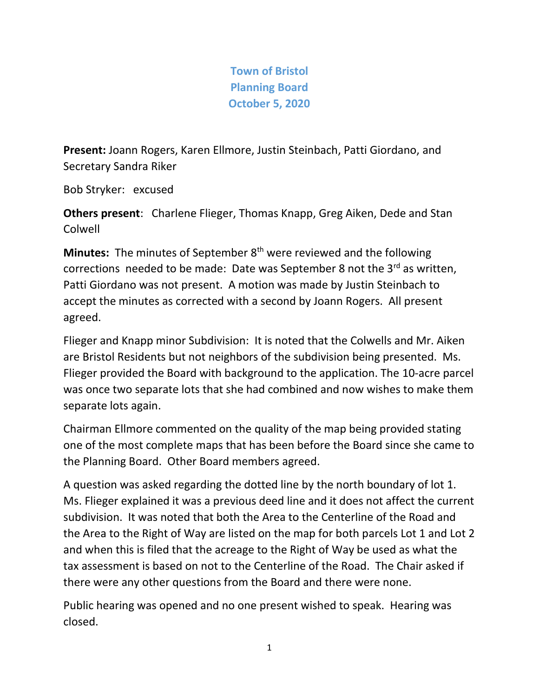**Town of Bristol Planning Board October 5, 2020**

**Present:** Joann Rogers, Karen Ellmore, Justin Steinbach, Patti Giordano, and Secretary Sandra Riker

Bob Stryker: excused

**Others present**: Charlene Flieger, Thomas Knapp, Greg Aiken, Dede and Stan Colwell

**Minutes:** The minutes of September 8<sup>th</sup> were reviewed and the following corrections needed to be made: Date was September 8 not the  $3^{rd}$  as written, Patti Giordano was not present. A motion was made by Justin Steinbach to accept the minutes as corrected with a second by Joann Rogers. All present agreed.

Flieger and Knapp minor Subdivision: It is noted that the Colwells and Mr. Aiken are Bristol Residents but not neighbors of the subdivision being presented. Ms. Flieger provided the Board with background to the application. The 10-acre parcel was once two separate lots that she had combined and now wishes to make them separate lots again.

Chairman Ellmore commented on the quality of the map being provided stating one of the most complete maps that has been before the Board since she came to the Planning Board. Other Board members agreed.

A question was asked regarding the dotted line by the north boundary of lot 1. Ms. Flieger explained it was a previous deed line and it does not affect the current subdivision. It was noted that both the Area to the Centerline of the Road and the Area to the Right of Way are listed on the map for both parcels Lot 1 and Lot 2 and when this is filed that the acreage to the Right of Way be used as what the tax assessment is based on not to the Centerline of the Road. The Chair asked if there were any other questions from the Board and there were none.

Public hearing was opened and no one present wished to speak. Hearing was closed.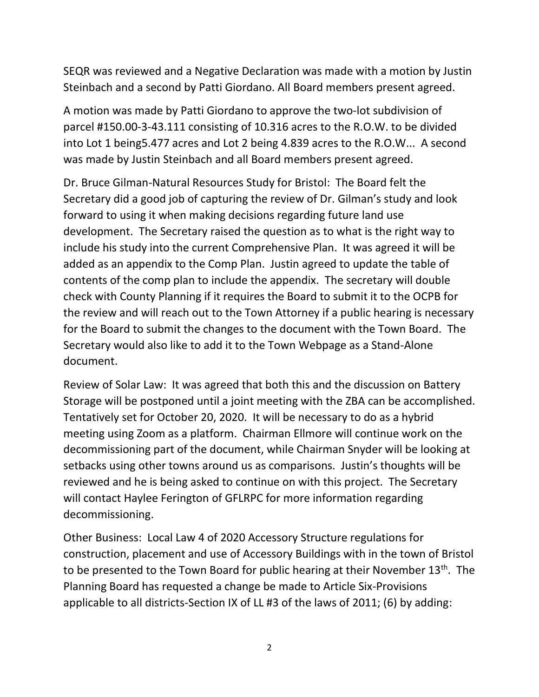SEQR was reviewed and a Negative Declaration was made with a motion by Justin Steinbach and a second by Patti Giordano. All Board members present agreed.

A motion was made by Patti Giordano to approve the two-lot subdivision of parcel #150.00-3-43.111 consisting of 10.316 acres to the R.O.W. to be divided into Lot 1 being5.477 acres and Lot 2 being 4.839 acres to the R.O.W... A second was made by Justin Steinbach and all Board members present agreed.

Dr. Bruce Gilman-Natural Resources Study for Bristol: The Board felt the Secretary did a good job of capturing the review of Dr. Gilman's study and look forward to using it when making decisions regarding future land use development. The Secretary raised the question as to what is the right way to include his study into the current Comprehensive Plan. It was agreed it will be added as an appendix to the Comp Plan. Justin agreed to update the table of contents of the comp plan to include the appendix. The secretary will double check with County Planning if it requires the Board to submit it to the OCPB for the review and will reach out to the Town Attorney if a public hearing is necessary for the Board to submit the changes to the document with the Town Board. The Secretary would also like to add it to the Town Webpage as a Stand-Alone document.

Review of Solar Law: It was agreed that both this and the discussion on Battery Storage will be postponed until a joint meeting with the ZBA can be accomplished. Tentatively set for October 20, 2020. It will be necessary to do as a hybrid meeting using Zoom as a platform. Chairman Ellmore will continue work on the decommissioning part of the document, while Chairman Snyder will be looking at setbacks using other towns around us as comparisons. Justin's thoughts will be reviewed and he is being asked to continue on with this project. The Secretary will contact Haylee Ferington of GFLRPC for more information regarding decommissioning.

Other Business: Local Law 4 of 2020 Accessory Structure regulations for construction, placement and use of Accessory Buildings with in the town of Bristol to be presented to the Town Board for public hearing at their November 13<sup>th</sup>. The Planning Board has requested a change be made to Article Six-Provisions applicable to all districts-Section IX of LL #3 of the laws of 2011; (6) by adding: